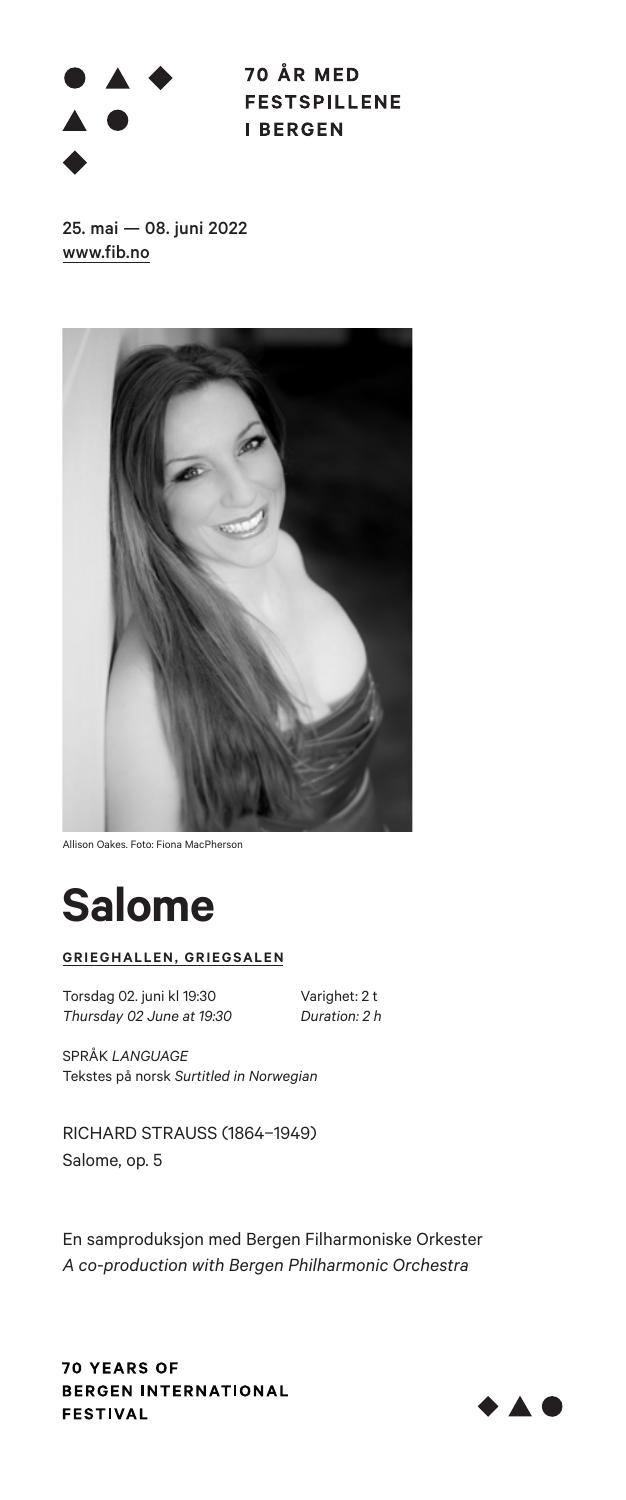# $\overline{\phantom{a}}$

70 ÅR MED **FESTSPILLENE I BERGEN** 

25. mai — 08. juni 2022 www.fib.no



Allison Oakes. Foto: Fiona MacPherson



### **GRIEGHALLEN, GRIEGSALEN**

Torsdag 02. juni kl 19:30<br>
Thursday 02 June at 19:30 Duration: 2 h *Thursday 02 June at 19:30 Duration: 2 h* 

SPRÅK *LANGUAGE* Tekstes på norsk *Surtitled in Norwegian*

RICHARD STRAUSS (1864–1949) Salome, op. 5

En samproduksjon med Bergen Filharmoniske Orkester *A co-production with Bergen Philharmonic Orchestra*



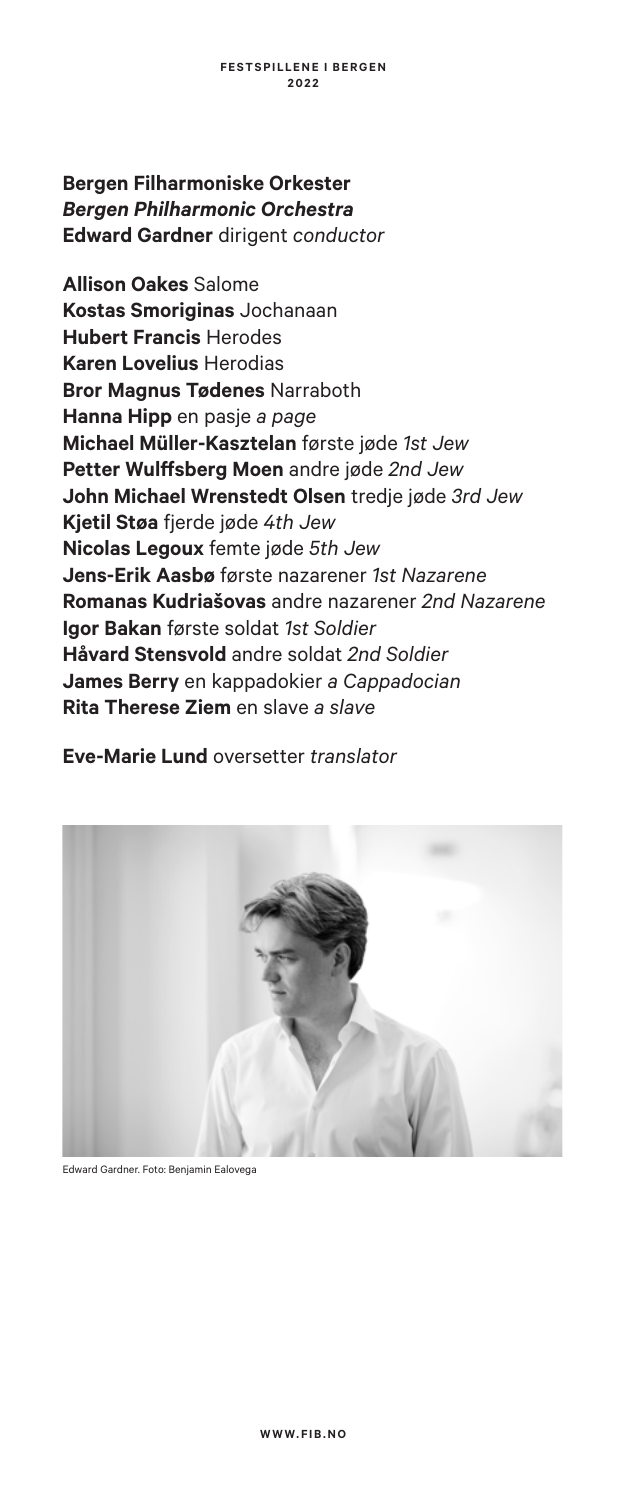# **Bergen Filharmoniske Orkester** *Bergen Philharmonic Orchestra*  **Edward Gardner** dirigent *conductor*

**Allison Oakes** Salome **Kostas Smoriginas** Jochanaan **Hubert Francis** Herodes **Karen Lovelius** Herodias **Bror Magnus Tødenes** Narraboth **Hanna Hipp** en pasje *a page* **Michael Müller-Kasztelan** første jøde *1st Jew* **Petter Wulffsberg Moen** andre jøde *2nd Jew* **John Michael Wrenstedt Olsen** tredje jøde *3rd Jew* **Kjetil Støa** fjerde jøde *4th Jew* **Nicolas Legoux** femte jøde *5th Jew* **Jens-Erik Aasbø** første nazarener *1st Nazarene* **Romanas Kudriašovas** andre nazarener *2nd Nazarene* **Igor Bakan** første soldat *1st Soldier*  **Håvard Stensvold** andre soldat *2nd Soldier* **James Berry** en kappadokier *a Cappadocian* **Rita Therese Ziem** en slave *a slave*

**Eve-Marie Lund** oversetter *translator*



Edward Gardner. Foto: Benjamin Ealovega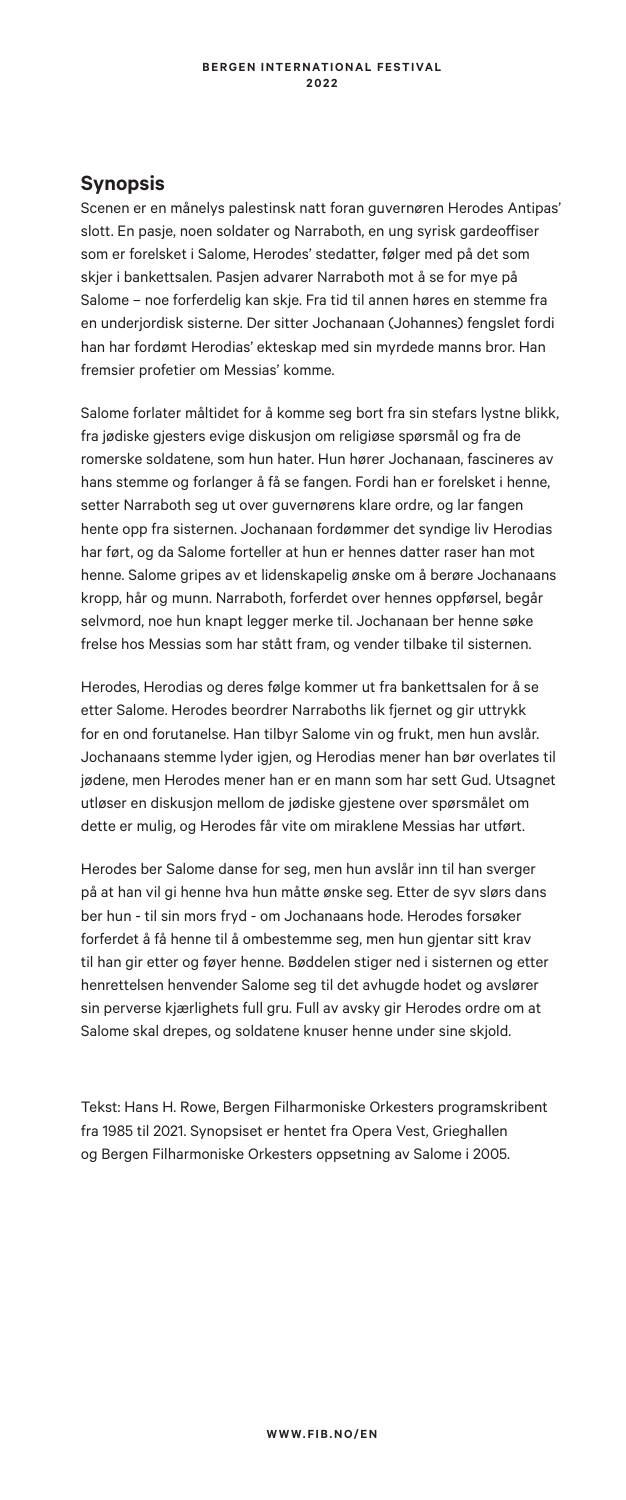### **Synopsis**

Scenen er en månelys palestinsk natt foran guvernøren Herodes Antipas' slott. En pasje, noen soldater og Narraboth, en ung syrisk gardeoffiser som er forelsket i Salome, Herodes' stedatter, følger med på det som skjer i bankettsalen. Pasjen advarer Narraboth mot å se for mye på Salome – noe forferdelig kan skje. Fra tid til annen høres en stemme fra en underjordisk sisterne. Der sitter Jochanaan (Johannes) fengslet fordi han har fordømt Herodias' ekteskap med sin myrdede manns bror. Han fremsier profetier om Messias' komme.

Salome forlater måltidet for å komme seg bort fra sin stefars lystne blikk, fra jødiske gjesters evige diskusjon om religiøse spørsmål og fra de romerske soldatene, som hun hater. Hun hører Jochanaan, fascineres av hans stemme og forlanger å få se fangen. Fordi han er forelsket i henne, setter Narraboth seg ut over guvernørens klare ordre, og lar fangen hente opp fra sisternen. Jochanaan fordømmer det syndige liv Herodias har ført, og da Salome forteller at hun er hennes datter raser han mot henne. Salome gripes av et lidenskapelig ønske om å berøre Jochanaans kropp, hår og munn. Narraboth, forferdet over hennes oppførsel, begår selvmord, noe hun knapt legger merke til. Jochanaan ber henne søke frelse hos Messias som har stått fram, og vender tilbake til sisternen.

Herodes, Herodias og deres følge kommer ut fra bankettsalen for å se etter Salome. Herodes beordrer Narraboths lik fjernet og gir uttrykk for en ond forutanelse. Han tilbyr Salome vin og frukt, men hun avslår. Jochanaans stemme lyder igjen, og Herodias mener han bør overlates til jødene, men Herodes mener han er en mann som har sett Gud. Utsagnet utløser en diskusjon mellom de jødiske gjestene over spørsmålet om dette er mulig, og Herodes får vite om miraklene Messias har utført.

Herodes ber Salome danse for seg, men hun avslår inn til han sverger på at han vil gi henne hva hun måtte ønske seg. Etter de syv slørs dans ber hun - til sin mors fryd - om Jochanaans hode. Herodes forsøker forferdet å få henne til å ombestemme seg, men hun gjentar sitt krav til han gir etter og føyer henne. Bøddelen stiger ned i sisternen og etter henrettelsen henvender Salome seg til det avhugde hodet og avslører sin perverse kjærlighets full gru. Full av avsky gir Herodes ordre om at Salome skal drepes, og soldatene knuser henne under sine skjold.

Tekst: Hans H. Rowe, Bergen Filharmoniske Orkesters programskribent fra 1985 til 2021. Synopsiset er hentet fra Opera Vest, Grieghallen og Bergen Filharmoniske Orkesters oppsetning av Salome i 2005.